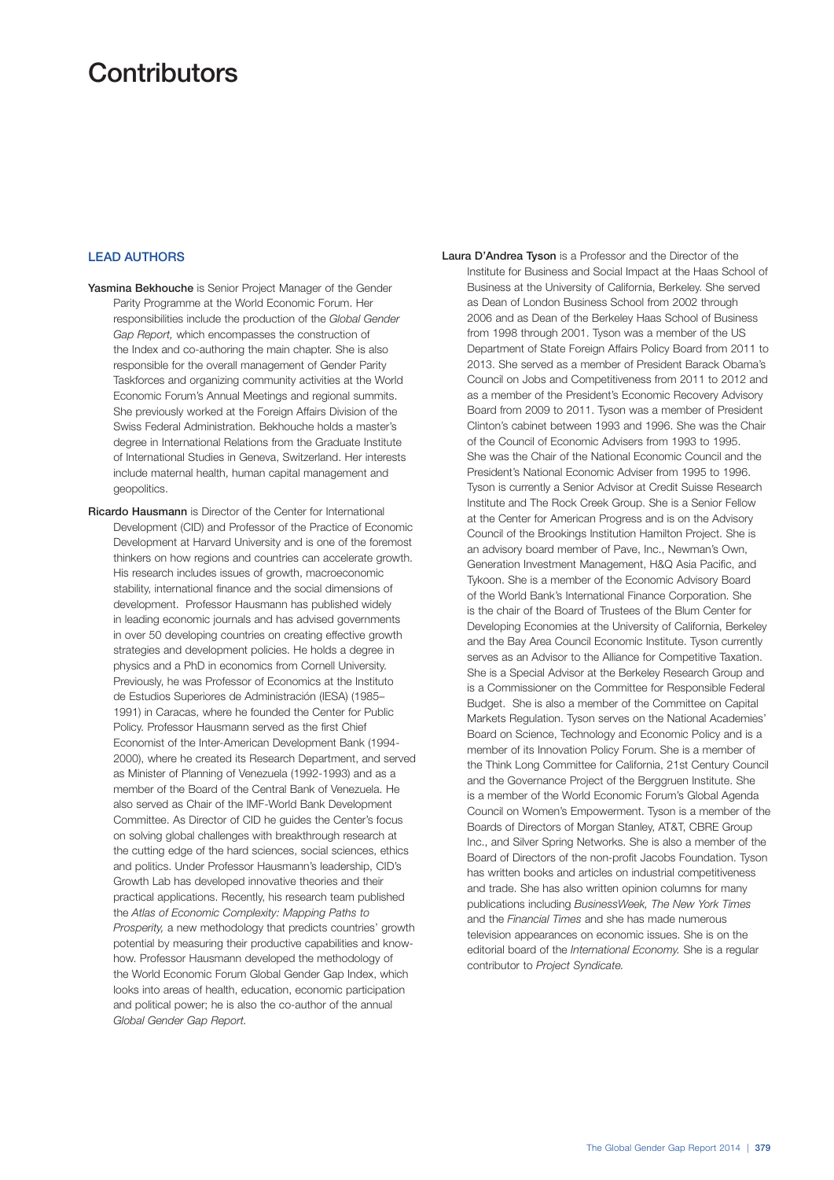## **Contributors**

## LEAD AUTHORS

- Yasmina Bekhouche is Senior Project Manager of the Gender Parity Programme at the World Economic Forum. Her responsibilities include the production of the *Global Gender Gap Report,* which encompasses the construction of the Index and co-authoring the main chapter. She is also responsible for the overall management of Gender Parity Taskforces and organizing community activities at the World Economic Forum's Annual Meetings and regional summits. She previously worked at the Foreign Affairs Division of the Swiss Federal Administration. Bekhouche holds a master's degree in International Relations from the Graduate Institute of International Studies in Geneva, Switzerland. Her interests include maternal health, human capital management and geopolitics.
- Ricardo Hausmann is Director of the Center for International Development (CID) and Professor of the Practice of Economic Development at Harvard University and is one of the foremost thinkers on how regions and countries can accelerate growth. His research includes issues of growth, macroeconomic stability, international finance and the social dimensions of development. Professor Hausmann has published widely in leading economic journals and has advised governments in over 50 developing countries on creating effective growth strategies and development policies. He holds a degree in physics and a PhD in economics from Cornell University. Previously, he was Professor of Economics at the Instituto de Estudios Superiores de Administración (IESA) (1985– 1991) in Caracas, where he founded the Center for Public Policy. Professor Hausmann served as the first Chief Economist of the Inter-American Development Bank (1994- 2000), where he created its Research Department, and served as Minister of Planning of Venezuela (1992-1993) and as a member of the Board of the Central Bank of Venezuela. He also served as Chair of the IMF-World Bank Development Committee. As Director of CID he guides the Center's focus on solving global challenges with breakthrough research at the cutting edge of the hard sciences, social sciences, ethics and politics. Under Professor Hausmann's leadership, CID's Growth Lab has developed innovative theories and their practical applications. Recently, his research team published the *Atlas of Economic Complexity: Mapping Paths to Prosperity,* a new methodology that predicts countries' growth potential by measuring their productive capabilities and knowhow. Professor Hausmann developed the methodology of the World Economic Forum Global Gender Gap Index, which looks into areas of health, education, economic participation and political power; he is also the co-author of the annual *Global Gender Gap Report.*

Laura D'Andrea Tyson is a Professor and the Director of the Institute for Business and Social Impact at the Haas School of Business at the University of California, Berkeley. She served as Dean of London Business School from 2002 through 2006 and as Dean of the Berkeley Haas School of Business from 1998 through 2001. Tyson was a member of the US Department of State Foreign Affairs Policy Board from 2011 to 2013. She served as a member of President Barack Obama's Council on Jobs and Competitiveness from 2011 to 2012 and as a member of the President's Economic Recovery Advisory Board from 2009 to 2011. Tyson was a member of President Clinton's cabinet between 1993 and 1996. She was the Chair of the Council of Economic Advisers from 1993 to 1995. She was the Chair of the National Economic Council and the President's National Economic Adviser from 1995 to 1996. Tyson is currently a Senior Advisor at Credit Suisse Research Institute and The Rock Creek Group. She is a Senior Fellow at the Center for American Progress and is on the Advisory Council of the Brookings Institution Hamilton Project. She is an advisory board member of Pave, Inc., Newman's Own, Generation Investment Management, H&Q Asia Pacific, and Tykoon. She is a member of the Economic Advisory Board of the World Bank's International Finance Corporation. She is the chair of the Board of Trustees of the Blum Center for Developing Economies at the University of California, Berkeley and the Bay Area Council Economic Institute. Tyson currently serves as an Advisor to the Alliance for Competitive Taxation. She is a Special Advisor at the Berkeley Research Group and is a Commissioner on the Committee for Responsible Federal Budget. She is also a member of the Committee on Capital Markets Regulation. Tyson serves on the National Academies' Board on Science, Technology and Economic Policy and is a member of its Innovation Policy Forum. She is a member of the Think Long Committee for California, 21st Century Council and the Governance Project of the Berggruen Institute. She is a member of the World Economic Forum's Global Agenda Council on Women's Empowerment. Tyson is a member of the Boards of Directors of Morgan Stanley, AT&T, CBRE Group Inc., and Silver Spring Networks. She is also a member of the Board of Directors of the non-profit Jacobs Foundation. Tyson has written books and articles on industrial competitiveness and trade. She has also written opinion columns for many publications including *BusinessWeek, The New York Times* and the *Financial Times* and she has made numerous television appearances on economic issues. She is on the editorial board of the *International Economy.* She is a regular contributor to *Project Syndicate.*